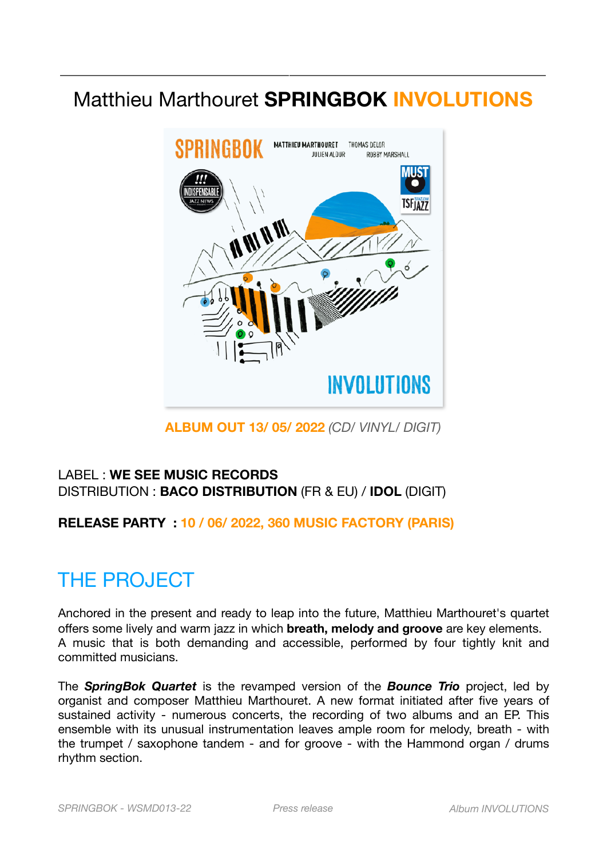### Matthieu Marthouret **SPRINGBOK INVOLUTIONS**

*\_\_\_\_\_\_\_\_\_\_\_\_\_\_\_\_\_\_\_\_\_\_\_\_\_\_\_\_\_\_\_\_\_\_\_\_\_\_\_\_\_\_\_\_\_\_\_\_\_\_\_\_\_* 



**ALBUM OUT 13/ 05/ 2022** *(CD/ VINYL/ DIGIT)* 

#### LABEL : **WE SEE MUSIC RECORDS** DISTRIBUTION : **BACO DISTRIBUTION** (FR & EU) / **IDOL** (DIGIT)

**RELEASE PARTY : 10 / 06/ 2022, 360 MUSIC FACTORY (PARIS)** 

# THE PROJECT

Anchored in the present and ready to leap into the future, Matthieu Marthouret's quartet offers some lively and warm jazz in which **breath, melody and groove** are key elements. A music that is both demanding and accessible, performed by four tightly knit and committed musicians.

The *SpringBok Quartet* is the revamped version of the *Bounce Trio* project, led by organist and composer Matthieu Marthouret. A new format initiated after five years of sustained activity - numerous concerts, the recording of two albums and an EP. This ensemble with its unusual instrumentation leaves ample room for melody, breath - with the trumpet / saxophone tandem - and for groove - with the Hammond organ / drums rhythm section.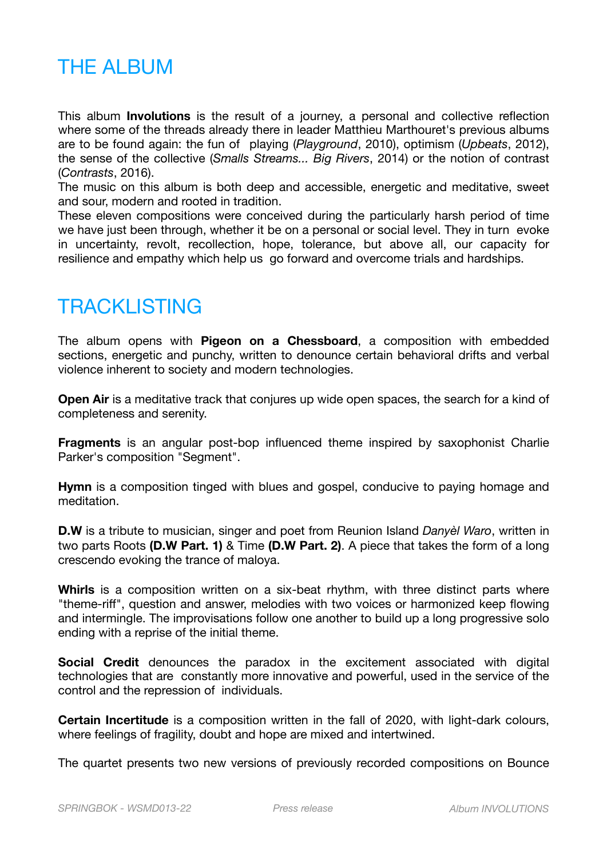## **THE ALBUM**

This album **Involutions** is the result of a journey, a personal and collective reflection where some of the threads already there in leader Matthieu Marthouret's previous albums are to be found again: the fun of playing (*Playground*, 2010), optimism (*Upbeats*, 2012), the sense of the collective (*Smalls Streams... Big Rivers*, 2014) or the notion of contrast (*Contrasts*, 2016).

The music on this album is both deep and accessible, energetic and meditative, sweet and sour, modern and rooted in tradition.

These eleven compositions were conceived during the particularly harsh period of time we have just been through, whether it be on a personal or social level. They in turn evoke in uncertainty, revolt, recollection, hope, tolerance, but above all, our capacity for resilience and empathy which help us go forward and overcome trials and hardships.

## **TRACKLISTING**

The album opens with **Pigeon on a Chessboard**, a composition with embedded sections, energetic and punchy, written to denounce certain behavioral drifts and verbal violence inherent to society and modern technologies.

**Open Air** is a meditative track that conjures up wide open spaces, the search for a kind of completeness and serenity.

**Fragments** is an angular post-bop influenced theme inspired by saxophonist Charlie Parker's composition "Segment".

**Hymn** is a composition tinged with blues and gospel, conducive to paying homage and meditation.

**D.W** is a tribute to musician, singer and poet from Reunion Island *Danyèl Waro*, written in two parts Roots **(D.W Part. 1)** & Time **(D.W Part. 2)**. A piece that takes the form of a long crescendo evoking the trance of maloya.

**Whirls** is a composition written on a six-beat rhythm, with three distinct parts where "theme-riff", question and answer, melodies with two voices or harmonized keep flowing and intermingle. The improvisations follow one another to build up a long progressive solo ending with a reprise of the initial theme.

**Social Credit** denounces the paradox in the excitement associated with digital technologies that are constantly more innovative and powerful, used in the service of the control and the repression of individuals.

**Certain Incertitude** is a composition written in the fall of 2020, with light-dark colours, where feelings of fragility, doubt and hope are mixed and intertwined.

The quartet presents two new versions of previously recorded compositions on Bounce